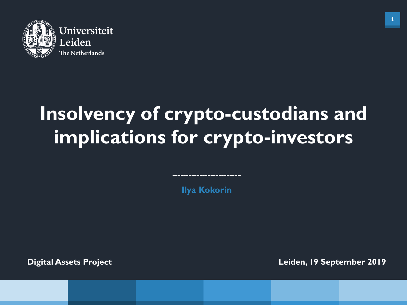

# **Insolvency of crypto-custodians and implications for crypto-investors**

**Ilya Kokorin**

**Digital Assets Project**

**Leiden, 19 September 2019**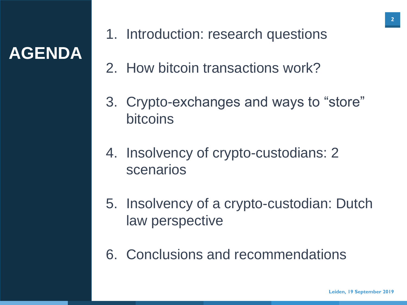## **AGENDA**

- 1. Introduction: research questions
- 2. How bitcoin transactions work?
- 3. Crypto-exchanges and ways to "store" bitcoins
- 4. Insolvency of crypto-custodians: 2 scenarios
- 5. Insolvency of a crypto-custodian: Dutch law perspective
- 6. Conclusions and recommendations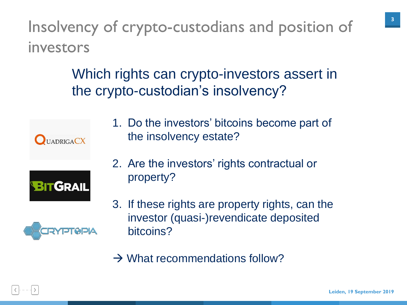Insolvency of crypto-custodians and position of investors

> Which rights can crypto-investors assert in the crypto-custodian's insolvency?



1. Do the investors' bitcoins become part of the insolvency estate?



2. Are the investors' rights contractual or property?



- 3. If these rights are property rights, can the investor (quasi-)revendicate deposited bitcoins?
- $\rightarrow$  What recommendations follow?

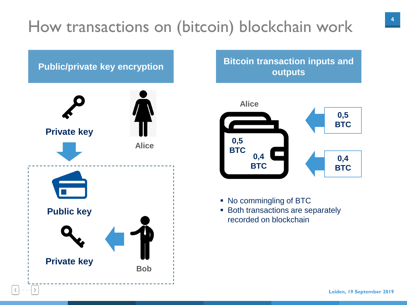## How transactions on (bitcoin) blockchain work



## **outputs**



- No commingling of BTC
- **Both transactions are separately** recorded on blockchain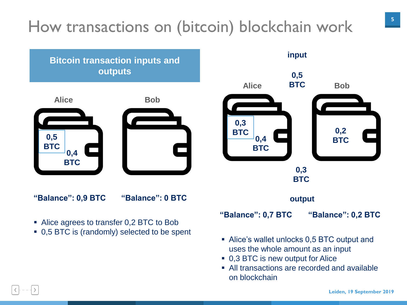## How transactions on (bitcoin) blockchain work





- Alice's wallet unlocks 0,5 BTC output and uses the whole amount as an input
- 0,3 BTC is new output for Alice
- All transactions are recorded and available on blockchain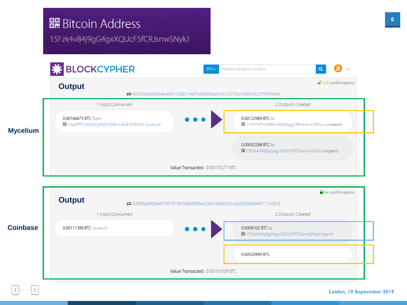### **闘 Bitcoin Address**

15Fzk4v84j9gG4gxXQUcF5fCRJsnwSNykJ

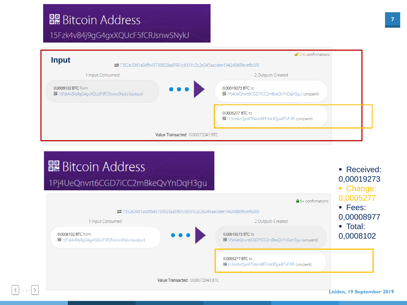### **闘 Bitcoin Address**

#### 15Fzk4v84j9gG4gxXQUcF5fCRJsnwSNykJ



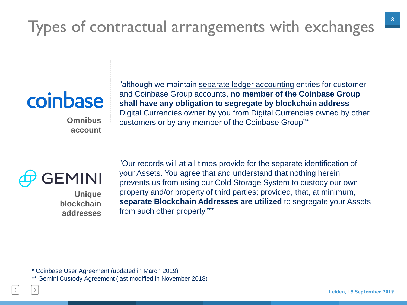## Types of contractual arrangements with exchanges

# coinbase

**Omnibus account** "although we maintain separate ledger accounting entries for customer and Coinbase Group accounts, **no member of the Coinbase Group shall have any obligation to segregate by blockchain address**  Digital Currencies owner by you from Digital Currencies owned by other customers or by any member of the Coinbase Group"\*



**Unique blockchain addresses** "Our records will at all times provide for the separate identification of your Assets. You agree that and understand that nothing herein prevents us from using our Cold Storage System to custody our own property and/or property of third parties; provided, that, at minimum, **separate Blockchain Addresses are utilized** to segregate your Assets from such other property"\*\*

\* Coinbase User Agreement (updated in March 2019)

\*\* Gemini Custody Agreement (last modified in November 2018)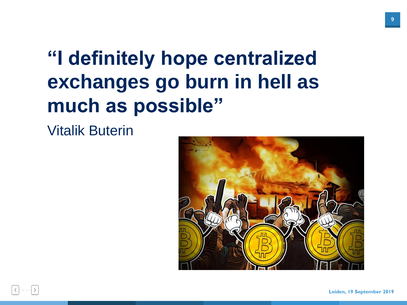# **"I definitely hope centralized exchanges go burn in hell as much as possible"**

Vitalik Buterin



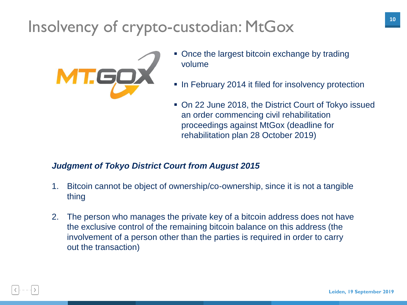## Insolvency of crypto-custodian: MtGox



- Once the largest bitcoin exchange by trading volume
- **In February 2014 it filed for insolvency protection**
- On 22 June 2018, the District Court of Tokyo issued an order commencing civil rehabilitation proceedings against MtGox (deadline for rehabilitation plan 28 October 2019)

#### *Judgment of Tokyo District Court from August 2015*

- 1. Bitcoin cannot be object of ownership/co-ownership, since it is not a tangible thing
- 2. The person who manages the private key of a bitcoin address does not have the exclusive control of the remaining bitcoin balance on this address (the involvement of a person other than the parties is required in order to carry out the transaction)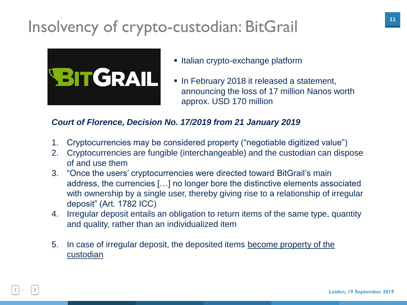## Insolvency of crypto-custodian: BitGrail



- **Italian crypto-exchange platform**
- **In February 2018 it released a statement,** announcing the loss of 17 million Nanos worth approx. USD 170 million

#### *Court of Florence, Decision No. 17/2019 from 21 January 2019*

- 1. Cryptocurrencies may be considered property ("negotiable digitized value")
- 2. Cryptocurrencies are fungible (interchangeable) and the custodian can dispose of and use them
- 3. "Once the users' cryptocurrencies were directed toward BitGrail's main address, the currencies […] no longer bore the distinctive elements associated with ownership by a single user, thereby giving rise to a relationship of irregular deposit" (Art. 1782 ICC)
- 4. Irregular deposit entails an obligation to return items of the same type, quantity and quality, rather than an individualized item
- 5. In case of irregular deposit, the deposited items become property of the custodian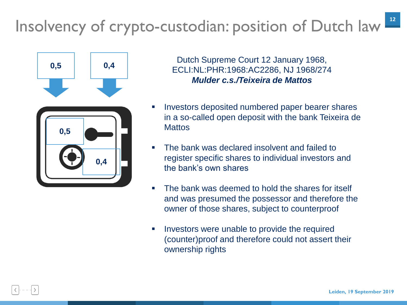## Insolvency of crypto-custodian: position of Dutch law<sup>12</sup>



Dutch Supreme Court 12 January 1968, ECLI:NL:PHR:1968:AC2286, NJ 1968/274 *Mulder c.s./Teixeira de Mattos*

- Investors deposited numbered paper bearer shares in a so-called open deposit with the bank Teixeira de **Mattos**
- The bank was declared insolvent and failed to register specific shares to individual investors and the bank's own shares
- The bank was deemed to hold the shares for itself and was presumed the possessor and therefore the owner of those shares, subject to counterproof
- **IDED** Investors were unable to provide the required (counter)proof and therefore could not assert their ownership rights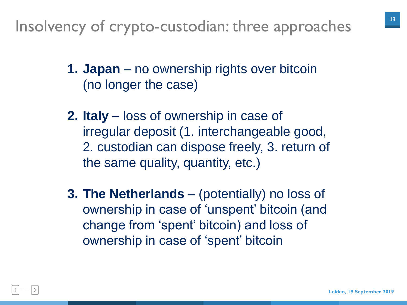Insolvency of crypto-custodian: three approaches

- **1. Japan** no ownership rights over bitcoin (no longer the case)
- **2. Italy** loss of ownership in case of irregular deposit (1. interchangeable good, 2. custodian can dispose freely, 3. return of the same quality, quantity, etc.)
- **3. The Netherlands**  (potentially) no loss of ownership in case of 'unspent' bitcoin (and change from 'spent' bitcoin) and loss of ownership in case of 'spent' bitcoin

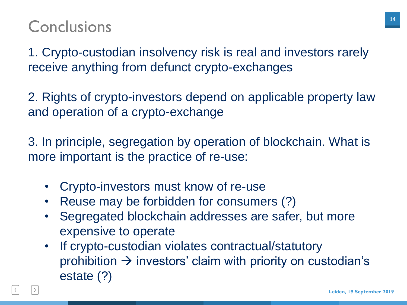### **Conclusions**

1. Crypto-custodian insolvency risk is real and investors rarely receive anything from defunct crypto-exchanges

2. Rights of crypto-investors depend on applicable property law and operation of a crypto-exchange

3. In principle, segregation by operation of blockchain. What is more important is the practice of re-use:

- Crypto-investors must know of re-use
- Reuse may be forbidden for consumers (?)
- Segregated blockchain addresses are safer, but more expensive to operate
- If crypto-custodian violates contractual/statutory prohibition  $\rightarrow$  investors' claim with priority on custodian's estate (?)